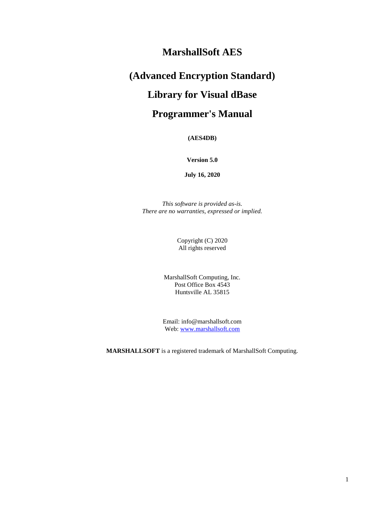## **MarshallSoft AES**

# **(Advanced Encryption Standard)**

# **Library for Visual dBase**

# **Programmer's Manual**

**(AES4DB)**

**Version 5.0**

**July 16, 2020**

*This software is provided as-is. There are no warranties, expressed or implied.*

> Copyright (C) 2020 All rights reserved

MarshallSoft Computing, Inc. Post Office Box 4543 Huntsville AL 35815

Email: info@marshallsoft.com Web: [www.marshallsoft.com](http://www.marshallsoft.com/)

**MARSHALLSOFT** is a registered trademark of MarshallSoft Computing.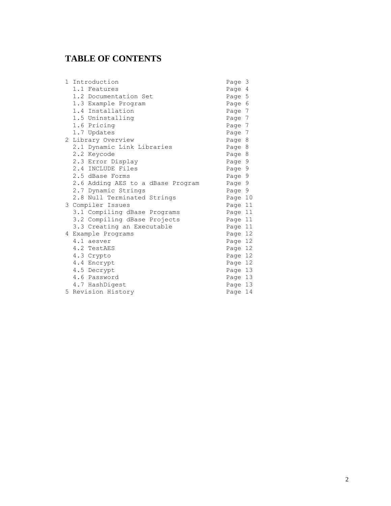## **TABLE OF CONTENTS**

| 1. | Introduction                      | Page 3  |  |
|----|-----------------------------------|---------|--|
|    | 1.1 Features                      | Page 4  |  |
|    | 1.2 Documentation Set             | Page 5  |  |
|    | 1.3 Example Program               | Page 6  |  |
|    | 1.4 Installation                  | Page 7  |  |
|    | 1.5 Uninstalling                  | Page 7  |  |
|    | 1.6 Pricing                       | Page 7  |  |
|    | 1.7 Updates                       | Page 7  |  |
|    | 2 Library Overview                | Page 8  |  |
|    | 2.1 Dynamic Link Libraries        | Page 8  |  |
|    | 2.2 Keycode                       | Page 8  |  |
|    | 2.3 Error Display                 | Page 9  |  |
|    | 2.4 INCLUDE Files                 | Page 9  |  |
|    | 2.5 dBase Forms                   | Page 9  |  |
|    | 2.6 Adding AES to a dBase Program | Page 9  |  |
|    | 2.7 Dynamic Strings               | Page 9  |  |
|    | 2.8 Null Terminated Strings       | Page 10 |  |
|    | 3 Compiler Issues                 | Page 11 |  |
|    | 3.1 Compiling dBase Programs      | Page 11 |  |
|    | 3.2 Compiling dBase Projects      | Page 11 |  |
|    | 3.3 Creating an Executable        | Page 11 |  |
|    | 4 Example Programs                | Page 12 |  |
|    | 4.1 aesver                        | Page 12 |  |
|    | 4.2 TestAES                       | Page 12 |  |
|    | 4.3 Crypto                        | Page 12 |  |
|    | 4.4 Encrypt                       | Page 12 |  |
|    | 4.5 Decrypt                       | Page 13 |  |
|    | 4.6 Password                      | Page 13 |  |
|    | 4.7 HashDigest                    | Page 13 |  |
|    | 5 Revision History                | Page 14 |  |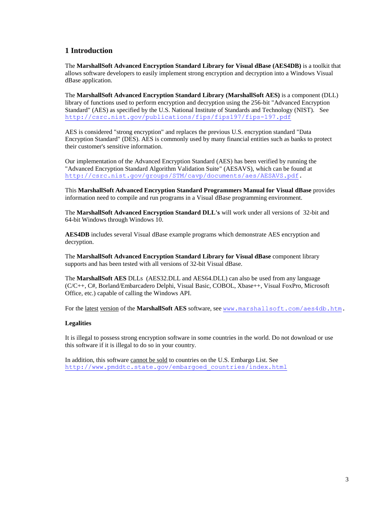## **1 Introduction**

The **MarshallSoft Advanced Encryption Standard Library for Visual dBase (AES4DB)** is a toolkit that allows software developers to easily implement strong encryption and decryption into a Windows Visual dBase application.

The **MarshallSoft Advanced Encryption Standard Library (MarshallSoft AES)** is a component (DLL) library of functions used to perform encryption and decryption using the 256-bit "Advanced Encryption Standard" (AES) as specified by the U.S. National Institute of Standards and Technology (NIST). See <http://csrc.nist.gov/publications/fips/fips197/fips-197.pdf>

AES is considered "strong encryption" and replaces the previous U.S. encryption standard "Data Encryption Standard" (DES). AES is commonly used by many financial entities such as banks to protect their customer's sensitive information.

Our implementation of the Advanced Encryption Standard (AES) has been verified by running the "Advanced Encryption Standard Algorithm Validation Suite" (AESAVS), which can be found at [http://csrc.nist.gov/groups/STM/cavp/documents/aes/AESAVS.pdf.](http://csrc.nist.gov/groups/STM/cavp/documents/aes/AESAVS.pdf)

This **MarshallSoft Advanced Encryption Standard Programmers Manual for Visual dBase** provides information need to compile and run programs in a Visual dBase programming environment.

The **MarshallSoft Advanced Encryption Standard DLL's** will work under all versions of 32-bit and 64-bit Windows through Windows 10.

**AES4DB** includes several Visual dBase example programs which demonstrate AES encryption and decryption.

The **MarshallSoft Advanced Encryption Standard Library for Visual dBase** component library supports and has been tested with all versions of 32-bit Visual dBase.

The **MarshallSoft AES** DLLs (AES32.DLL and AES64.DLL) can also be used from any language (C/C++, C#, Borland/Embarcadero Delphi, Visual Basic, COBOL, Xbase++, Visual FoxPro, Microsoft Office, etc.) capable of calling the Windows API.

For the latest version of the **MarshallSoft AES** software, see [www.marshallsoft.com/aes4db.htm.](http://www.marshallsoft.com/aes4db.htm)

#### **Legalities**

It is illegal to possess strong encryption software in some countries in the world. Do not download or use this software if it is illegal to do so in your country.

In addition, this software cannot be sold to countries on the U.S. Embargo List. See [http://www.pmddtc.state.gov/embargoed\\_countries/index.html](http://www.pmddtc.state.gov/embargoed_countries/index.html)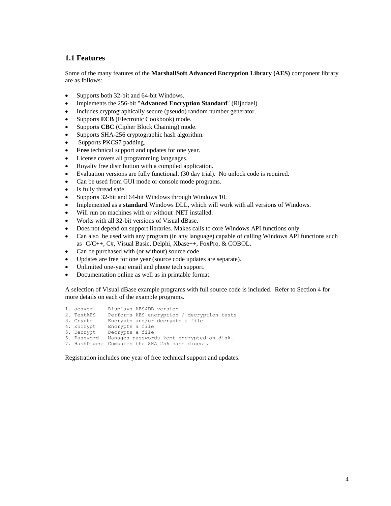## **1.1 Features**

Some of the many features of the **MarshallSoft Advanced Encryption Library (AES)** component library are as follows:

- Supports both 32-bit and 64-bit Windows.
- Implements the 256-bit "**Advanced Encryption Standard**" (Rijndael)
- Includes cryptographically secure (pseudo) random number generator.
- Supports **ECB** (Electronic Cookbook) mode.
- Supports **CBC** (Cipher Block Chaining) mode.
- Supports SHA-256 cryptographic hash algorithm.
- Supports PKCS7 padding.
- **Free** technical support and updates for one year.
- License covers all programming languages.
- Royalty free distribution with a compiled application.
- Evaluation versions are fully functional. (30 day trial). No unlock code is required.
- Can be used from GUI mode or console mode programs.
- Is fully thread safe.
- Supports 32-bit and 64-bit Windows through Windows 10.
- Implemented as a **standard** Windows DLL, which will work with all versions of Windows.
- Will run on machines with or without .NET installed.
- Works with all 32-bit versions of Visual dBase.
- Does not depend on support libraries. Makes calls to core Windows API functions only.
- Can also be used with any program (in any language) capable of calling Windows API functions such as C/C++, C#, Visual Basic, Delphi, Xbase++, FoxPro, & COBOL.
- Can be purchased with (or without) source code.
- Updates are free for one year (source code updates are separate).
- Unlimited one-year email and phone tech support.
- Documentation online as well as in printable format.

A selection of Visual dBase example programs with full source code is included. Refer to Section 4 for more details on each of the example programs.

1. aesver Displays AES4DB version 2. TestAES Performs AES encryption / decryption tests 3. Crypto Encrypts and/or decrypts a file 3. Crypto Encrypts a file<br>4. Encrypt Encrypts a file 5. Decrypt Decrypts a file 6. Password Manages passwords kept encrypted on disk. 7. HashDigest Computes the SHA 256 hash digest.

Registration includes one year of free technical support and updates.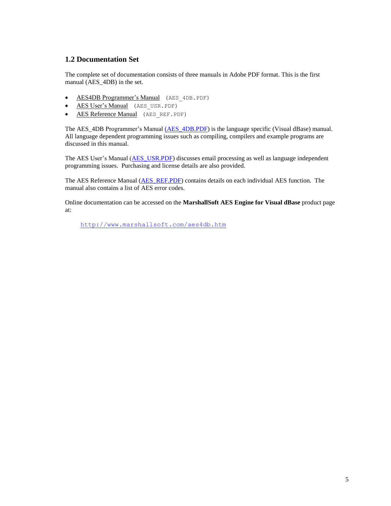## **1.2 Documentation Set**

The complete set of documentation consists of three manuals in Adobe PDF format. This is the first manual (AES\_4DB) in the set.

- **AES4DB Programmer's Manual** (AES 4DB.PDF)
- AES User's Manual (AES USR.PDF)
- AES Reference Manual (AES REF.PDF)

The AES\_4DB Programmer's Manual [\(AES\\_4DB.PDF\)](http://www.marshallsoft.com/aes_4db.pdf) is the language specific (Visual dBase) manual. All language dependent programming issues such as compiling, compilers and example programs are discussed in this manual.

The AES User's Manual [\(AES\\_USR.PDF\)](http://www.marshallsoft.com/aes_usr.pdf) discusses email processing as well as language independent programming issues. Purchasing and license details are also provided.

The AES Reference Manual [\(AES\\_REF.PDF\)](http://www.marshallsoft.com/aes_ref.pdf) contains details on each individual AES function. The manual also contains a list of AES error codes.

Online documentation can be accessed on the **MarshallSoft AES Engine for Visual dBase** product page at:

<http://www.marshallsoft.com/aes4db.htm>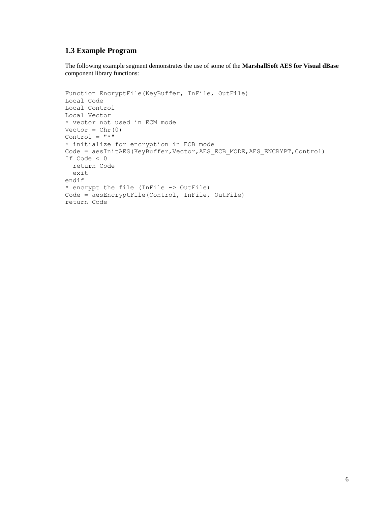## **1.3 Example Program**

The following example segment demonstrates the use of some of the **MarshallSoft AES for Visual dBase** component library functions:

```
Function EncryptFile(KeyBuffer, InFile, OutFile)
Local Code
Local Control
Local Vector
* vector not used in ECM mode
Vector = Chr(0)Control = "*"* initialize for encryption in ECB mode
Code = aesInitAES(KeyBuffer, Vector, AES ECB MODE, AES ENCRYPT, Control)
If Code < 0 
   return Code 
   exit
endif
* encrypt the file (InFile -> OutFile)
Code = aesEncryptFile(Control, InFile, OutFile)
return Code
```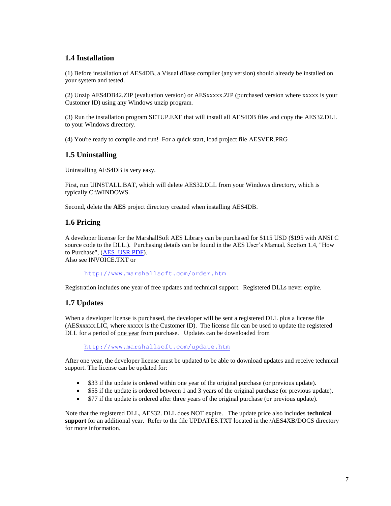## **1.4 Installation**

(1) Before installation of AES4DB, a Visual dBase compiler (any version) should already be installed on your system and tested.

(2) Unzip AES4DB42.ZIP (evaluation version) or AESxxxxx.ZIP (purchased version where xxxxx is your Customer ID) using any Windows unzip program.

(3) Run the installation program SETUP.EXE that will install all AES4DB files and copy the AES32.DLL to your Windows directory.

(4) You're ready to compile and run! For a quick start, load project file AESVER.PRG

## **1.5 Uninstalling**

Uninstalling AES4DB is very easy.

First, run UINSTALL.BAT, which will delete AES32.DLL from your Windows directory, which is typically C:\WINDOWS.

Second, delete the **AES** project directory created when installing AES4DB.

## **1.6 Pricing**

A developer license for the MarshallSoft AES Library can be purchased for \$115 USD (\$195 with ANSI C source code to the DLL.). Purchasing details can be found in the AES User's Manual, Section 1.4, "How to Purchase", [\(AES\\_USR.PDF\)](http://www.marshallsoft.com/aes_usr.pdf).

Also see INVOICE.TXT or

<http://www.marshallsoft.com/order.htm>

Registration includes one year of free updates and technical support. Registered DLLs never expire.

## **1.7 Updates**

When a developer license is purchased, the developer will be sent a registered DLL plus a license file (AESxxxxx.LIC, where xxxxx is the Customer ID). The license file can be used to update the registered DLL for a period of <u>one year</u> from purchase. Updates can be downloaded from

[http://www.marshallsoft.com/update.htm](http://www.marshallsoft.com/oem.htm)

After one year, the developer license must be updated to be able to download updates and receive technical support. The license can be updated for:

- \$33 if the update is ordered within one year of the original purchase (or previous update).
- \$55 if the update is ordered between 1 and 3 years of the original purchase (or previous update).
- \$77 if the update is ordered after three years of the original purchase (or previous update).

Note that the registered DLL, AES32. DLL does NOT expire. The update price also includes **technical support** for an additional year. Refer to the file UPDATES.TXT located in the /AES4XB/DOCS directory for more information.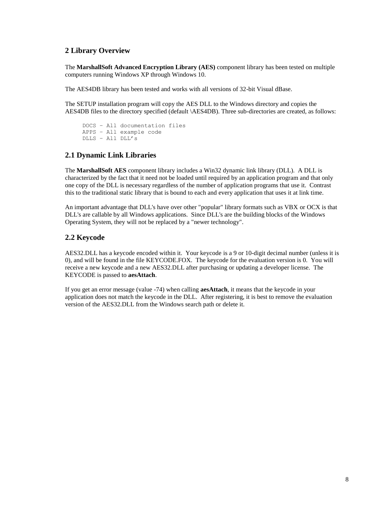## **2 Library Overview**

The **MarshallSoft Advanced Encryption Library (AES)** component library has been tested on multiple computers running Windows XP through Windows 10.

The AES4DB library has been tested and works with all versions of 32-bit Visual dBase.

The SETUP installation program will copy the AES DLL to the Windows directory and copies the AES4DB files to the directory specified (default \AES4DB). Three sub-directories are created, as follows:

```
 DOCS – All documentation files
 APPS – All example code
 DLLS – All DLL's
```
## **2.1 Dynamic Link Libraries**

The **MarshallSoft AES** component library includes a Win32 dynamic link library (DLL). A DLL is characterized by the fact that it need not be loaded until required by an application program and that only one copy of the DLL is necessary regardless of the number of application programs that use it. Contrast this to the traditional static library that is bound to each and every application that uses it at link time.

An important advantage that DLL's have over other "popular" library formats such as VBX or OCX is that DLL's are callable by all Windows applications. Since DLL's are the building blocks of the Windows Operating System, they will not be replaced by a "newer technology".

## **2.2 Keycode**

AES32.DLL has a keycode encoded within it. Your keycode is a 9 or 10-digit decimal number (unless it is 0), and will be found in the file KEYCODE.FOX. The keycode for the evaluation version is 0. You will receive a new keycode and a new AES32.DLL after purchasing or updating a developer license. The KEYCODE is passed to **aesAttach**.

If you get an error message (value -74) when calling **aesAttach**, it means that the keycode in your application does not match the keycode in the DLL. After registering, it is best to remove the evaluation version of the AES32.DLL from the Windows search path or delete it.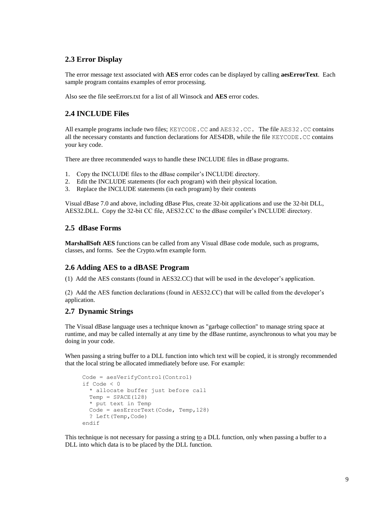## **2.3 Error Display**

The error message text associated with **AES** error codes can be displayed by calling **aesErrorText**. Each sample program contains examples of error processing.

Also see the file seeErrors.txt for a list of all Winsock and **AES** error codes.

## **2.4 INCLUDE Files**

All example programs include two files; KEYCODE.CC and AES32.CC. The file AES32.CC contains all the necessary constants and function declarations for AES4DB, while the file KEYCODE.CC contains your key code.

There are three recommended ways to handle these INCLUDE files in dBase programs.

- 1. Copy the INCLUDE files to the dBase compiler's INCLUDE directory.
- 2. Edit the INCLUDE statements (for each program) with their physical location.
- 3. Replace the INCLUDE statements (in each program) by their contents

Visual dBase 7.0 and above, including dBase Plus, create 32-bit applications and use the 32-bit DLL, AES32.DLL. Copy the 32-bit CC file, AES32.CC to the dBase compiler's INCLUDE directory.

## **2.5 dBase Forms**

**MarshallSoft AES** functions can be called from any Visual dBase code module, such as programs, classes, and forms. See the Crypto.wfm example form.

#### **2.6 Adding AES to a dBASE Program**

(1) Add the AES constants (found in AES32.CC) that will be used in the developer's application.

(2) Add the AES function declarations (found in AES32.CC) that will be called from the developer's application.

## **2.7 Dynamic Strings**

The Visual dBase language uses a technique known as "garbage collection" to manage string space at runtime, and may be called internally at any time by the dBase runtime, asynchronous to what you may be doing in your code.

When passing a string buffer to a DLL function into which text will be copied, it is strongly recommended that the local string be allocated immediately before use. For example:

```
 Code = aesVerifyControl(Control)
 if Code < 0
  * allocate buffer just before call
 Temp = SPACE(128) * put text in Temp
   Code = aesErrorText(Code, Temp,128)
   ? Left(Temp,Code)
 endif
```
This technique is not necessary for passing a string to a DLL function, only when passing a buffer to a DLL into which data is to be placed by the DLL function.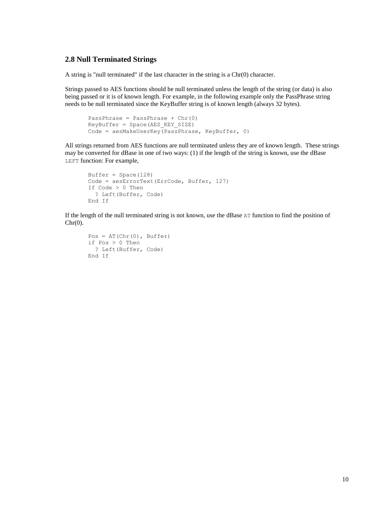### **2.8 Null Terminated Strings**

A string is "null terminated" if the last character in the string is a Chr(0) character.

Strings passed to AES functions should be null terminated unless the length of the string (or data) is also being passed or it is of known length. For example, in the following example only the PassPhrase string needs to be null terminated since the KeyBuffer string is of known length (always 32 bytes).

```
PassPhrase = PassPhrase + Chr(0)KeyBuffer = Space(AES_KEY_SIZE)
Code = aesMakeUserKey(PassPhrase, KeyBuffer, 0)
```
All strings returned from AES functions are null terminated unless they are of known length. These strings may be converted for dBase in one of two ways: (1) if the length of the string is known, use the dBase LEFT function: For example,

```
Buffer = Space(128)Code = aesErrorText(ErrCode, Buffer, 127)
If Code > 0 Then
  ? Left(Buffer, Code)
End If
```
If the length of the null terminated string is not known, use the dBase AT function to find the position of  $Chr(0)$ .

```
Pos = AT(Chr(0), Butfer)if Pos > 0 Then
  ? Left(Buffer, Code)
End If
```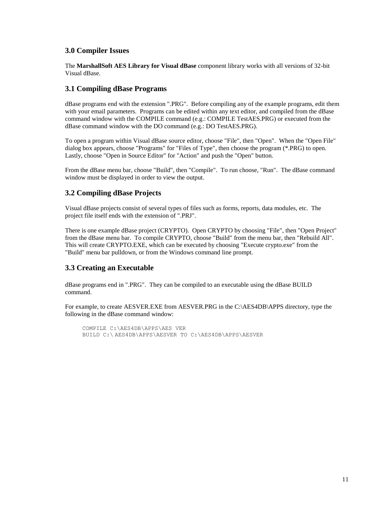## **3.0 Compiler Issues**

The **MarshallSoft AES Library for Visual dBase** component library works with all versions of 32-bit Visual dBase.

### **3.1 Compiling dBase Programs**

dBase programs end with the extension ".PRG". Before compiling any of the example programs, edit them with your email parameters. Programs can be edited within any text editor, and compiled from the dBase command window with the COMPILE command (e.g.: COMPILE TestAES.PRG) or executed from the dBase command window with the DO command (e.g.: DO TestAES.PRG).

To open a program within Visual dBase source editor, choose "File", then "Open". When the "Open File" dialog box appears, choose "Programs" for "Files of Type", then choose the program (\*.PRG) to open. Lastly, choose "Open in Source Editor" for "Action" and push the "Open" button.

From the dBase menu bar, choose "Build", then "Compile". To run choose, "Run". The dBase command window must be displayed in order to view the output.

## **3.2 Compiling dBase Projects**

Visual dBase projects consist of several types of files such as forms, reports, data modules, etc. The project file itself ends with the extension of ".PRJ".

There is one example dBase project (CRYPTO). Open CRYPTO by choosing "File", then "Open Project" from the dBase menu bar. To compile CRYPTO, choose "Build" from the menu bar, then "Rebuild All". This will create CRYPTO.EXE, which can be executed by choosing "Execute crypto.exe" from the "Build" menu bar pulldown, or from the Windows command line prompt.

## **3.3 Creating an Executable**

dBase programs end in ".PRG". They can be compiled to an executable using the dBase BUILD command.

For example, to create AESVER.EXE from AESVER.PRG in the C:\AES4DB\APPS directory, type the following in the dBase command window:

 COMPILE C:\AES4DB\APPS\AES VER BUILD C:\ AES4DB\APPS\AESVER TO C:\AES4DB\APPS\AESVER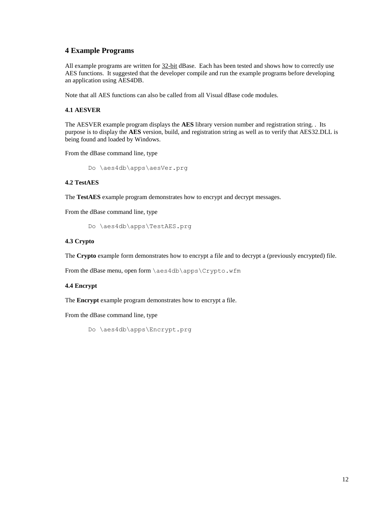### **4 Example Programs**

All example programs are written for  $32$ -bit dBase. Each has been tested and shows how to correctly use AES functions. It suggested that the developer compile and run the example programs before developing an application using AES4DB.

Note that all AES functions can also be called from all Visual dBase code modules.

#### **4.1 AESVER**

The AESVER example program displays the **AES** library version number and registration string. . Its purpose is to display the **AES** version, build, and registration string as well as to verify that AES32.DLL is being found and loaded by Windows.

From the dBase command line, type

Do \aes4db\apps\aesVer.prg

#### **4.2 TestAES**

The **TestAES** example program demonstrates how to encrypt and decrypt messages.

From the dBase command line, type

Do \aes4db\apps\TestAES.prg

#### **4.3 Crypto**

The **Crypto** example form demonstrates how to encrypt a file and to decrypt a (previously encrypted) file.

From the dBase menu, open form \aes4db\apps\Crypto.wfm

#### **4.4 Encrypt**

The **Encrypt** example program demonstrates how to encrypt a file.

From the dBase command line, type

Do \aes4db\apps\Encrypt.prg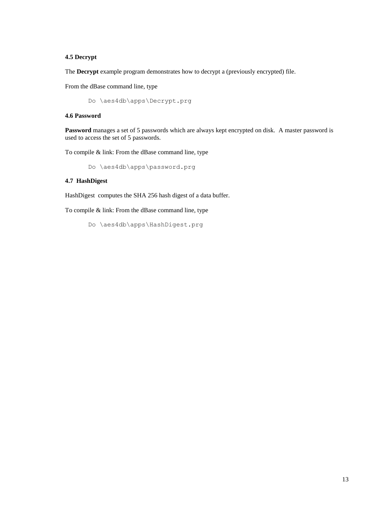#### **4.5 Decrypt**

The **Decrypt** example program demonstrates how to decrypt a (previously encrypted) file.

From the dBase command line, type

Do \aes4db\apps\Decrypt.prg

#### **4.6 Password**

**Password** manages a set of 5 passwords which are always kept encrypted on disk. A master password is used to access the set of 5 passwords.

To compile & link: From the dBase command line, type

Do \aes4db\apps\password.prg

#### **4.7 HashDigest**

HashDigest computes the SHA 256 hash digest of a data buffer.

To compile & link: From the dBase command line, type

Do \aes4db\apps\HashDigest.prg